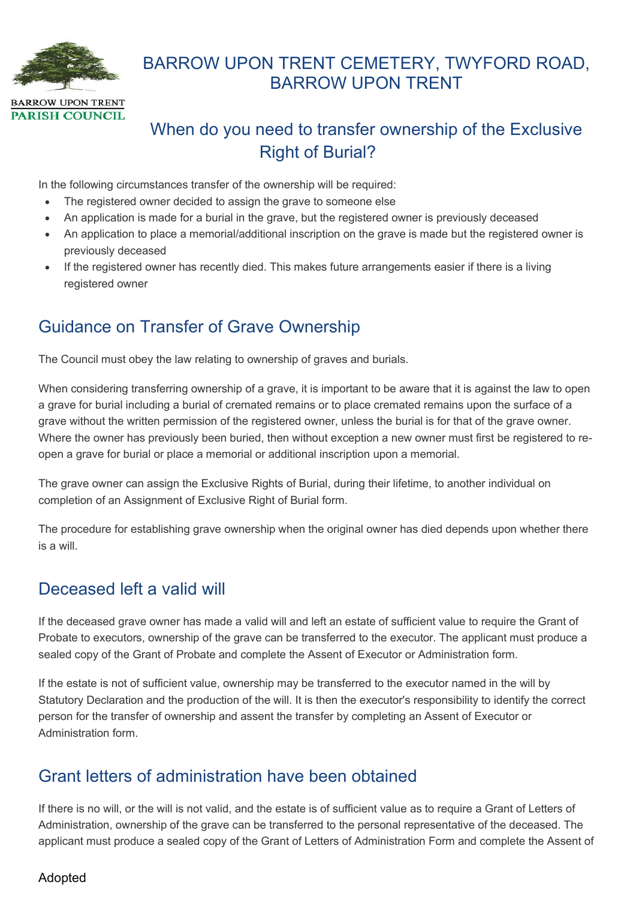

# BARROW UPON TRENT CEMETERY, TWYFORD ROAD, BARROW UPON TRENT

# When do you need to transfer ownership of the Exclusive Right of Burial?

In the following circumstances transfer of the ownership will be required:

- The registered owner decided to assign the grave to someone else
- An application is made for a burial in the grave, but the registered owner is previously deceased
- An application to place a memorial/additional inscription on the grave is made but the registered owner is previously deceased
- If the registered owner has recently died. This makes future arrangements easier if there is a living registered owner

## Guidance on Transfer of Grave Ownership

The Council must obey the law relating to ownership of graves and burials.

When considering transferring ownership of a grave, it is important to be aware that it is against the law to open a grave for burial including a burial of cremated remains or to place cremated remains upon the surface of a grave without the written permission of the registered owner, unless the burial is for that of the grave owner. Where the owner has previously been buried, then without exception a new owner must first be registered to reopen a grave for burial or place a memorial or additional inscription upon a memorial.

The grave owner can assign the Exclusive Rights of Burial, during their lifetime, to another individual on completion of an Assignment of Exclusive Right of Burial form.

The procedure for establishing grave ownership when the original owner has died depends upon whether there is a will.

#### Deceased left a valid will

If the deceased grave owner has made a valid will and left an estate of sufficient value to require the Grant of Probate to executors, ownership of the grave can be transferred to the executor. The applicant must produce a sealed copy of the Grant of Probate and complete the Assent of Executor or Administration form.

If the estate is not of sufficient value, ownership may be transferred to the executor named in the will by Statutory Declaration and the production of the will. It is then the executor's responsibility to identify the correct person for the transfer of ownership and assent the transfer by completing an Assent of Executor or Administration form.

### Grant letters of administration have been obtained

If there is no will, or the will is not valid, and the estate is of sufficient value as to require a Grant of Letters of Administration, ownership of the grave can be transferred to the personal representative of the deceased. The applicant must produce a sealed copy of the Grant of Letters of Administration Form and complete the Assent of

#### Adopted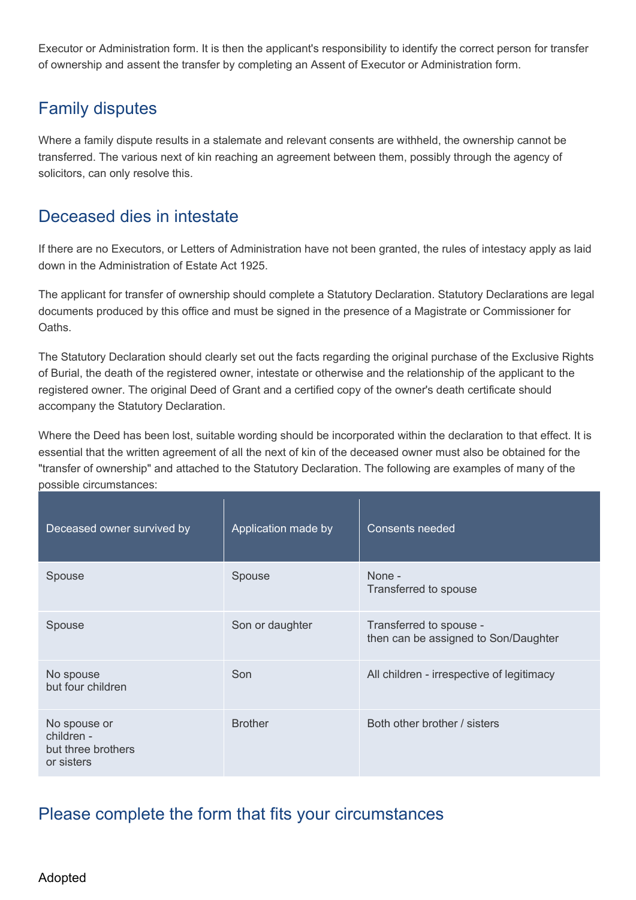Executor or Administration form. It is then the applicant's responsibility to identify the correct person for transfer of ownership and assent the transfer by completing an Assent of Executor or Administration form.

# Family disputes

Where a family dispute results in a stalemate and relevant consents are withheld, the ownership cannot be transferred. The various next of kin reaching an agreement between them, possibly through the agency of solicitors, can only resolve this.

## Deceased dies in intestate

If there are no Executors, or Letters of Administration have not been granted, the rules of intestacy apply as laid down in the Administration of Estate Act 1925.

The applicant for transfer of ownership should complete a Statutory Declaration. Statutory Declarations are legal documents produced by this office and must be signed in the presence of a Magistrate or Commissioner for Oaths.

The Statutory Declaration should clearly set out the facts regarding the original purchase of the Exclusive Rights of Burial, the death of the registered owner, intestate or otherwise and the relationship of the applicant to the registered owner. The original Deed of Grant and a certified copy of the owner's death certificate should accompany the Statutory Declaration.

Where the Deed has been lost, suitable wording should be incorporated within the declaration to that effect. It is essential that the written agreement of all the next of kin of the deceased owner must also be obtained for the "transfer of ownership" and attached to the Statutory Declaration. The following are examples of many of the possible circumstances:

| Deceased owner survived by                                     | Application made by | <b>Consents needed</b>                                          |
|----------------------------------------------------------------|---------------------|-----------------------------------------------------------------|
| Spouse                                                         | Spouse              | None -<br>Transferred to spouse                                 |
| Spouse                                                         | Son or daughter     | Transferred to spouse -<br>then can be assigned to Son/Daughter |
| No spouse<br>but four children                                 | Son                 | All children - irrespective of legitimacy                       |
| No spouse or<br>children -<br>but three brothers<br>or sisters | <b>Brother</b>      | Both other brother / sisters                                    |

## Please complete the form that fits your circumstances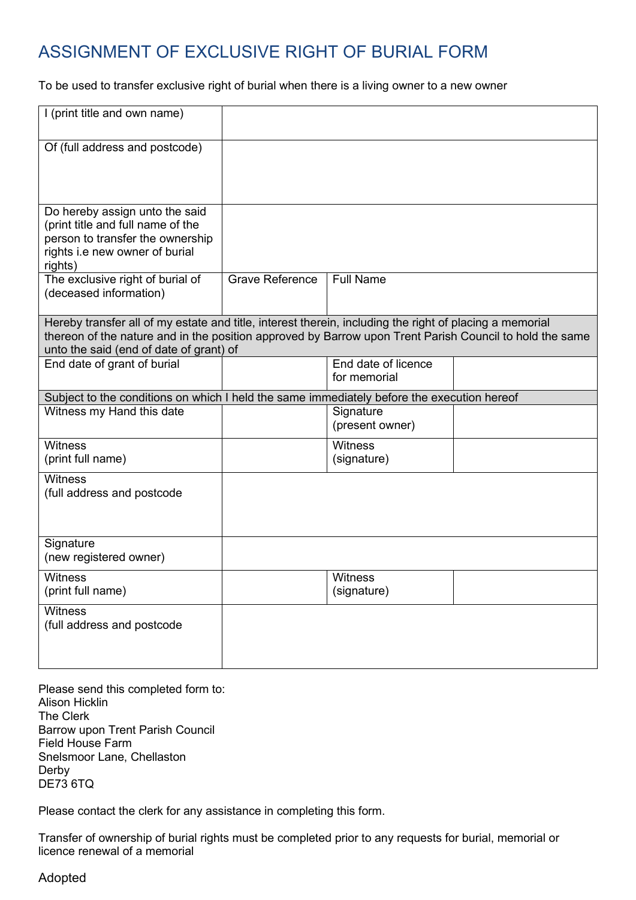# ASSIGNMENT OF EXCLUSIVE RIGHT OF BURIAL FORM

To be used to transfer exclusive right of burial when there is a living owner to a new owner

| I (print title and own name)                                                                                                                                                                                                                                  |                        |                                     |  |
|---------------------------------------------------------------------------------------------------------------------------------------------------------------------------------------------------------------------------------------------------------------|------------------------|-------------------------------------|--|
| Of (full address and postcode)                                                                                                                                                                                                                                |                        |                                     |  |
| Do hereby assign unto the said<br>(print title and full name of the<br>person to transfer the ownership<br>rights i.e new owner of burial<br>rights)                                                                                                          |                        |                                     |  |
| The exclusive right of burial of<br>(deceased information)                                                                                                                                                                                                    | <b>Grave Reference</b> | <b>Full Name</b>                    |  |
| Hereby transfer all of my estate and title, interest therein, including the right of placing a memorial<br>thereon of the nature and in the position approved by Barrow upon Trent Parish Council to hold the same<br>unto the said (end of date of grant) of |                        |                                     |  |
| End date of grant of burial                                                                                                                                                                                                                                   |                        | End date of licence<br>for memorial |  |
| Subject to the conditions on which I held the same immediately before the execution hereof                                                                                                                                                                    |                        |                                     |  |
| Witness my Hand this date                                                                                                                                                                                                                                     |                        | Signature<br>(present owner)        |  |
| <b>Witness</b><br>(print full name)                                                                                                                                                                                                                           |                        | <b>Witness</b><br>(signature)       |  |
| <b>Witness</b><br>(full address and postcode                                                                                                                                                                                                                  |                        |                                     |  |
| Signature<br>(new registered owner)                                                                                                                                                                                                                           |                        |                                     |  |
| <b>Witness</b><br>(print full name)                                                                                                                                                                                                                           |                        | <b>Witness</b><br>(signature)       |  |
| <b>Witness</b><br>(full address and postcode                                                                                                                                                                                                                  |                        |                                     |  |

Please send this completed form to: Alison Hicklin The Clerk Barrow upon Trent Parish Council Field House Farm Snelsmoor Lane, Chellaston Derby DE73 6TQ

Please contact the clerk for any assistance in completing this form.

Transfer of ownership of burial rights must be completed prior to any requests for burial, memorial or licence renewal of a memorial

Adopted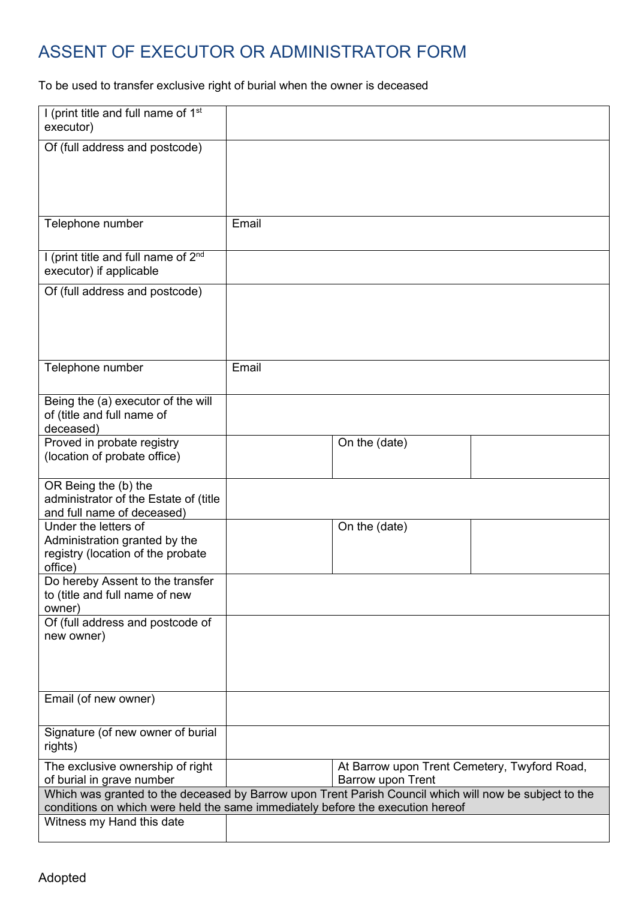# ASSENT OF EXECUTOR OR ADMINISTRATOR FORM

To be used to transfer exclusive right of burial when the owner is deceased

| I (print title and full name of 1 <sup>st</sup><br>executor)                                                                                                                                                          |       |                                                                   |  |
|-----------------------------------------------------------------------------------------------------------------------------------------------------------------------------------------------------------------------|-------|-------------------------------------------------------------------|--|
| Of (full address and postcode)                                                                                                                                                                                        |       |                                                                   |  |
| Telephone number                                                                                                                                                                                                      | Email |                                                                   |  |
| I (print title and full name of 2 <sup>nd</sup><br>executor) if applicable                                                                                                                                            |       |                                                                   |  |
| Of (full address and postcode)                                                                                                                                                                                        |       |                                                                   |  |
| Telephone number                                                                                                                                                                                                      | Email |                                                                   |  |
| Being the (a) executor of the will<br>of (title and full name of<br>deceased)                                                                                                                                         |       |                                                                   |  |
| Proved in probate registry<br>(location of probate office)                                                                                                                                                            |       | On the (date)                                                     |  |
| OR Being the (b) the<br>administrator of the Estate of (title<br>and full name of deceased)                                                                                                                           |       |                                                                   |  |
| Under the letters of<br>Administration granted by the<br>registry (location of the probate<br>office)                                                                                                                 |       | On the (date)                                                     |  |
| Do hereby Assent to the transfer<br>to (title and full name of new<br>owner)                                                                                                                                          |       |                                                                   |  |
| Of (full address and postcode of<br>new owner)                                                                                                                                                                        |       |                                                                   |  |
| Email (of new owner)                                                                                                                                                                                                  |       |                                                                   |  |
| Signature (of new owner of burial<br>rights)                                                                                                                                                                          |       |                                                                   |  |
| The exclusive ownership of right<br>of burial in grave number                                                                                                                                                         |       | At Barrow upon Trent Cemetery, Twyford Road,<br>Barrow upon Trent |  |
| Which was granted to the deceased by Barrow upon Trent Parish Council which will now be subject to the<br>conditions on which were held the same immediately before the execution hereof<br>Witness my Hand this date |       |                                                                   |  |
|                                                                                                                                                                                                                       |       |                                                                   |  |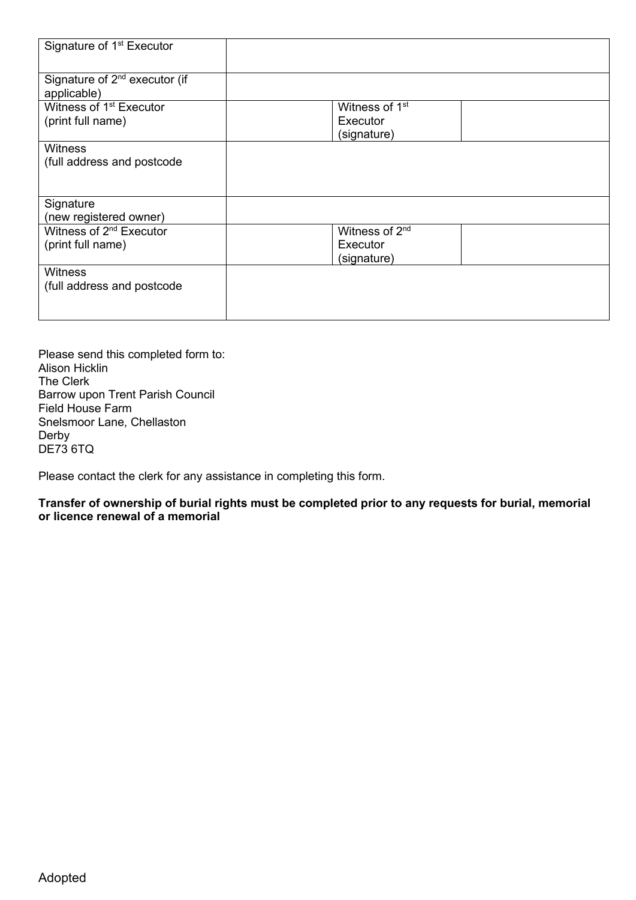| Signature of 1 <sup>st</sup> Executor                    |                                                       |
|----------------------------------------------------------|-------------------------------------------------------|
| Signature of 2 <sup>nd</sup> executor (if<br>applicable) |                                                       |
| Witness of 1 <sup>st</sup> Executor<br>(print full name) | Witness of 1 <sup>st</sup><br>Executor<br>(signature) |
| <b>Witness</b><br>(full address and postcode             |                                                       |
| Signature<br>(new registered owner)                      |                                                       |
| Witness of 2 <sup>nd</sup> Executor<br>(print full name) | Witness of 2 <sup>nd</sup><br>Executor<br>(signature) |
| <b>Witness</b><br>(full address and postcode             |                                                       |

Please send this completed form to: Alison Hicklin The Clerk Barrow upon Trent Parish Council Field House Farm Snelsmoor Lane, Chellaston Derby DE73 6TQ

Please contact the clerk for any assistance in completing this form.

**Transfer of ownership of burial rights must be completed prior to any requests for burial, memorial or licence renewal of a memorial**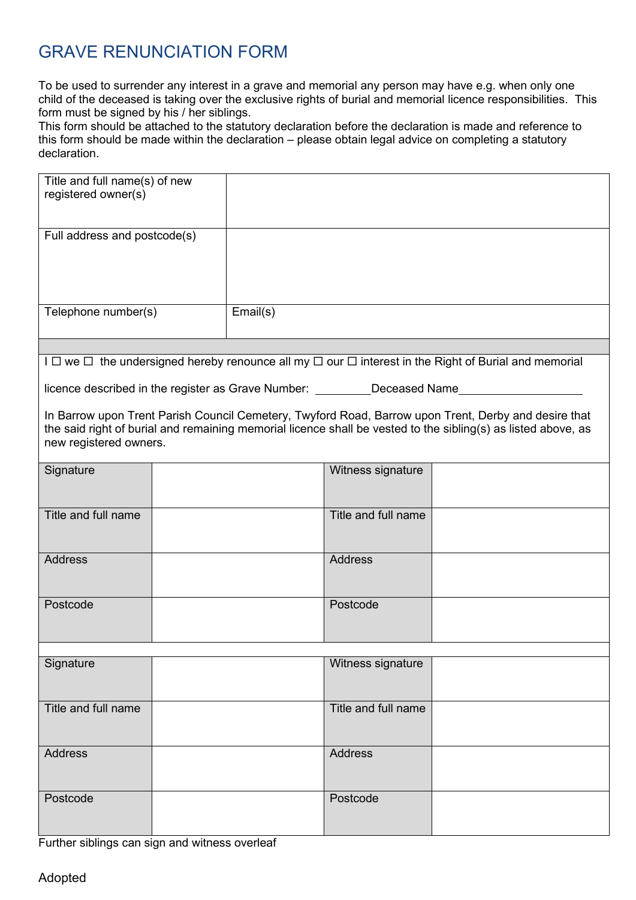# GRAVE RENUNCIATION FORM

To be used to surrender any interest in a grave and memorial any person may have e.g. when only one child of the deceased is taking over the exclusive rights of burial and memorial licence responsibilities. This form must be signed by his / her siblings.

This form should be attached to the statutory declaration before the declaration is made and reference to this form should be made within the declaration – please obtain legal advice on completing a statutory declaration.

| Title and full name(s) of new<br>registered owner(s)                                                                                                                                                                                            |  |          |                     |  |
|-------------------------------------------------------------------------------------------------------------------------------------------------------------------------------------------------------------------------------------------------|--|----------|---------------------|--|
| Full address and postcode(s)                                                                                                                                                                                                                    |  |          |                     |  |
| Telephone number(s)                                                                                                                                                                                                                             |  | Email(s) |                     |  |
|                                                                                                                                                                                                                                                 |  |          |                     |  |
| I $\Box$ we $\Box$ the undersigned hereby renounce all my $\Box$ our $\Box$ interest in the Right of Burial and memorial<br>licence described in the register as Grave Number: _________Deceased Name__________________________                 |  |          |                     |  |
| In Barrow upon Trent Parish Council Cemetery, Twyford Road, Barrow upon Trent, Derby and desire that<br>the said right of burial and remaining memorial licence shall be vested to the sibling(s) as listed above, as<br>new registered owners. |  |          |                     |  |
| Signature                                                                                                                                                                                                                                       |  |          | Witness signature   |  |
| Title and full name                                                                                                                                                                                                                             |  |          | Title and full name |  |
| <b>Address</b>                                                                                                                                                                                                                                  |  |          | <b>Address</b>      |  |
| Postcode                                                                                                                                                                                                                                        |  |          | Postcode            |  |
| Signature                                                                                                                                                                                                                                       |  |          | Witness signature   |  |
| Title and full name                                                                                                                                                                                                                             |  |          | Title and full name |  |
| <b>Address</b>                                                                                                                                                                                                                                  |  |          | <b>Address</b>      |  |
| Postcode                                                                                                                                                                                                                                        |  |          | Postcode            |  |
|                                                                                                                                                                                                                                                 |  |          |                     |  |

Further siblings can sign and witness overleaf